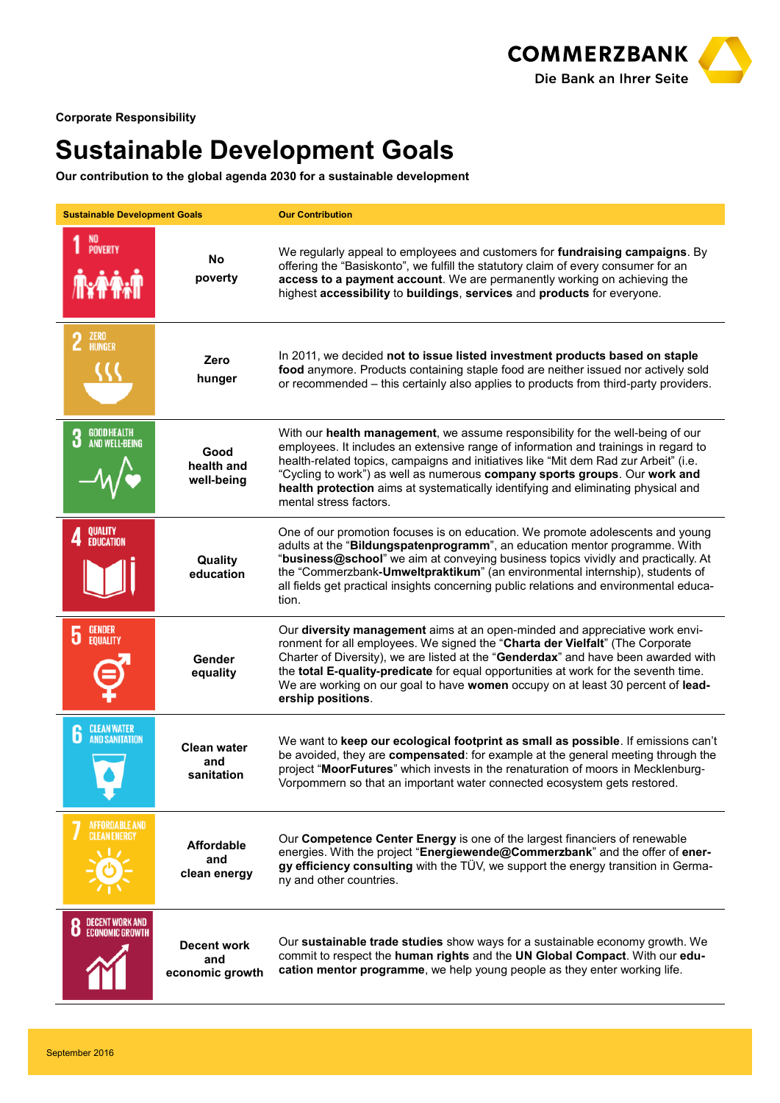

**Corporate Responsibility**

## **Sustainable Development Goals**

**Our contribution to the global agenda 2030 for a sustainable development**

| <b>Sustainable Development Goals</b>             |                                         | <b>Our Contribution</b>                                                                                                                                                                                                                                                                                                                                                                                                                                    |
|--------------------------------------------------|-----------------------------------------|------------------------------------------------------------------------------------------------------------------------------------------------------------------------------------------------------------------------------------------------------------------------------------------------------------------------------------------------------------------------------------------------------------------------------------------------------------|
| NO<br>Poverty                                    | No<br>poverty                           | We regularly appeal to employees and customers for fundraising campaigns. By<br>offering the "Basiskonto", we fulfill the statutory claim of every consumer for an<br>access to a payment account. We are permanently working on achieving the<br>highest accessibility to buildings, services and products for everyone.                                                                                                                                  |
| $2$ $^{ZERU}$                                    | Zero<br>hunger                          | In 2011, we decided not to issue listed investment products based on staple<br>food anymore. Products containing staple food are neither issued nor actively sold<br>or recommended – this certainly also applies to products from third-party providers.                                                                                                                                                                                                  |
| <b>GOOD HEALTH</b><br>3<br><b>AND WELL-BEING</b> | Good<br>health and<br>well-being        | With our health management, we assume responsibility for the well-being of our<br>employees. It includes an extensive range of information and trainings in regard to<br>health-related topics, campaigns and initiatives like "Mit dem Rad zur Arbeit" (i.e.<br>"Cycling to work") as well as numerous company sports groups. Our work and<br>health protection aims at systematically identifying and eliminating physical and<br>mental stress factors. |
| QUALITY<br><b>EDUCATION</b>                      | Quality<br>education                    | One of our promotion focuses is on education. We promote adolescents and young<br>adults at the "Bildungspatenprogramm", an education mentor programme. With<br>"business@school" we aim at conveying business topics vividly and practically. At<br>the "Commerzbank-Umweltpraktikum" (an environmental internship), students of<br>all fields get practical insights concerning public relations and environmental educa-<br>tion.                       |
| <b>GENDER</b><br>5<br><b>EQUALITY</b>            | Gender<br>equality                      | Our <b>diversity management</b> aims at an open-minded and appreciative work envi-<br>ronment for all employees. We signed the "Charta der Vielfalt" (The Corporate<br>Charter of Diversity), we are listed at the "Genderdax" and have been awarded with<br>the total E-quality-predicate for equal opportunities at work for the seventh time.<br>We are working on our goal to have women occupy on at least 30 percent of lead-<br>ership positions.   |
| <b>CLEAN WATER</b><br>6<br><b>AND SANITATION</b> | <b>Clean water</b><br>and<br>sanitation | We want to keep our ecological footprint as small as possible. If emissions can't<br>be avoided, they are compensated: for example at the general meeting through the<br>project "MoorFutures" which invests in the renaturation of moors in Mecklenburg-<br>Vorpommern so that an important water connected ecosystem gets restored.                                                                                                                      |
| <b>AFFORDABLE AND</b><br><b>CLEAN ENERGY</b>     | Affordable<br>and<br>clean energy       | Our Competence Center Energy is one of the largest financiers of renewable<br>energies. With the project "Energiewende@Commerzbank" and the offer of ener-<br>gy efficiency consulting with the TÜV, we support the energy transition in Germa-<br>ny and other countries.                                                                                                                                                                                 |
| <b>DECENT WORK AND</b><br><b>ECONOMIC GROWTH</b> | Decent work<br>and<br>economic growth   | Our sustainable trade studies show ways for a sustainable economy growth. We<br>commit to respect the human rights and the UN Global Compact. With our edu-<br>cation mentor programme, we help young people as they enter working life.                                                                                                                                                                                                                   |